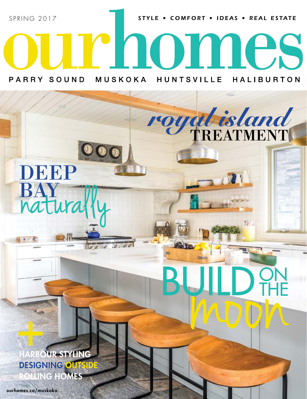STYLE . COMFORT . IDEAS . REAL ESTATE

TREATMENT *royal island*

moon

THE

BUILD PHE

SPRING 2017

MUSKOKA PARRY SOUND **HUNTSVILLE HALIBURTON** 

Irnomes

## DEEP BAY naturally

RBOUR STYLING DESIGNING OU **OLLING HOMES** +

ourhomes.ca/muskoka